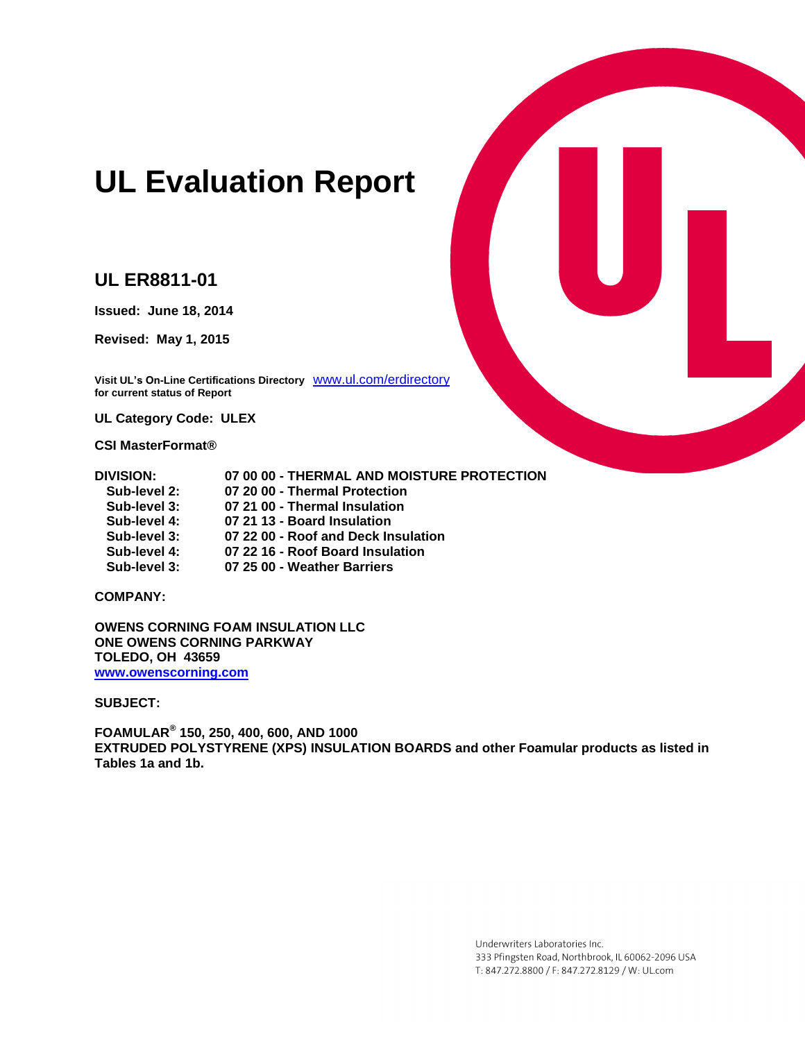# **UL Evaluation Report**

# **UL ER8811-01**

**Issued: June 18, 2014**

**Revised: May 1, 2015**

**Visit UL's On-Line Certifications Directory** [www.ul.com/erdirectory](http://www.ul.com/erdirectory) **for current status of Report**

**UL Category Code: ULEX**

**CSI MasterFormat®**

| DIVISION:    | 07 00 00 - THERMAL AND MOISTURE PROTECTION |
|--------------|--------------------------------------------|
| Sub-level 2: | 07 20 00 - Thermal Protection              |
| Sub-level 3: | 07 21 00 - Thermal Insulation              |
| Sub-Javal 1. | 07.21.13 - Roard Inculation                |

- **Sub-level 4: 07 21 13 - Board Insulation**
- **Sub-level 3: 07 22 00 - Roof and Deck Insulation**
- **Sub-level 4: 07 22 16 - Roof Board Insulation**
- **Sub-level 3: 07 25 00 - Weather Barriers**

**COMPANY:**

**OWENS CORNING FOAM INSULATION LLC ONE OWENS CORNING PARKWAY TOLEDO, OH 43659 [www.owenscorning.com](http://www.owenscorning.com/)**

**SUBJECT:** 

**FOAMULAR® 150, 250, 400, 600, AND 1000 EXTRUDED POLYSTYRENE (XPS) INSULATION BOARDS and other Foamular products as listed in Tables 1a and 1b.**

> Underwriters Laboratories Inc. 333 Pfingsten Road, Northbrook, IL 60062-2096 USA T: 847.272.8800 / F: 847.272.8129 / W: UL.com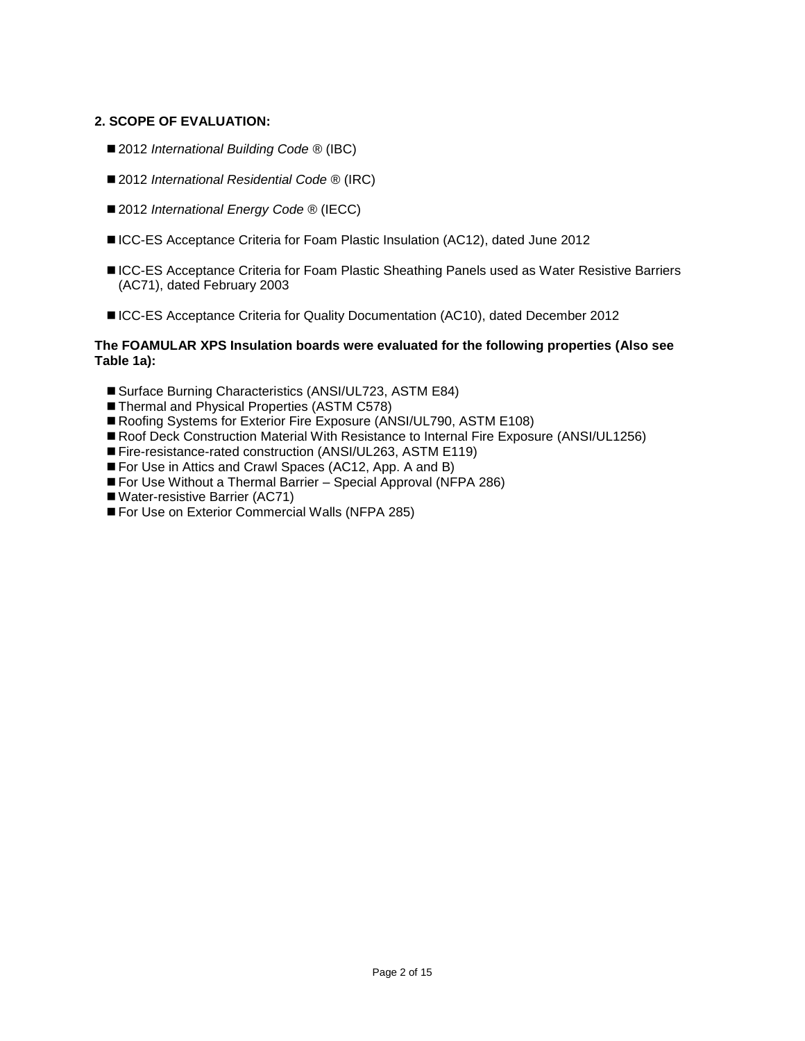## **2. SCOPE OF EVALUATION:**

- 2012 *International Building Code* <sup>®</sup> (IBC)
- 2012 *International Residential Code* <sup>®</sup> (IRC)
- 2012 *International Energy Code* ® (IECC)
- ICC-ES Acceptance Criteria for Foam Plastic Insulation (AC12), dated June 2012
- ■ICC-ES Acceptance Criteria for Foam Plastic Sheathing Panels used as Water Resistive Barriers (AC71), dated February 2003
- ■ICC-ES Acceptance Criteria for Quality Documentation (AC10), dated December 2012

#### **The FOAMULAR XPS Insulation boards were evaluated for the following properties (Also see Table 1a):**

- Surface Burning Characteristics (ANSI/UL723, ASTM E84)
- Thermal and Physical Properties (ASTM C578)
- Roofing Systems for Exterior Fire Exposure (ANSI/UL790, ASTM E108)
- Roof Deck Construction Material With Resistance to Internal Fire Exposure (ANSI/UL1256)
- Fire-resistance-rated construction (ANSI/UL263, ASTM E119)
- For Use in Attics and Crawl Spaces (AC12, App. A and B)
- For Use Without a Thermal Barrier Special Approval (NFPA 286)
- Water-resistive Barrier (AC71)
- For Use on Exterior Commercial Walls (NFPA 285)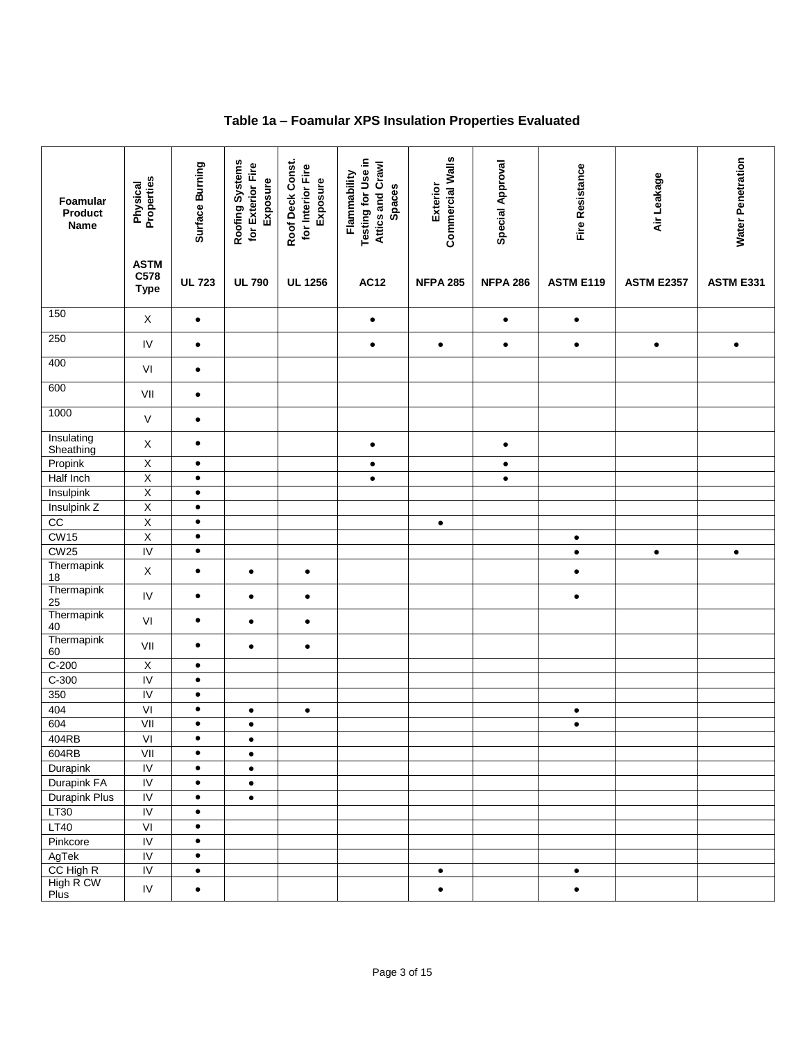# **Table 1a – Foamular XPS Insulation Properties Evaluated**

| Foamular<br>Product<br><b>Name</b> | Properties<br>Physical             | Surface Burning | Roofing Systems<br>for Exterior Fire<br>Exposure | Roof Deck Const.<br>for Interior Fire<br>Exposure | Testing for Use in<br>Attics and Crawl<br>Flammability<br><b>Spaces</b> | <b>Commercial Walls</b><br>Exterior | <b>Special Approval</b> | Fire Resistance  | Air Leakage       | <b>Water Penetration</b> |
|------------------------------------|------------------------------------|-----------------|--------------------------------------------------|---------------------------------------------------|-------------------------------------------------------------------------|-------------------------------------|-------------------------|------------------|-------------------|--------------------------|
|                                    | <b>ASTM</b><br>C578<br><b>Type</b> | <b>UL 723</b>   | <b>UL 790</b>                                    | <b>UL 1256</b>                                    | <b>AC12</b>                                                             | <b>NFPA 285</b>                     | <b>NFPA 286</b>         | <b>ASTM E119</b> | <b>ASTM E2357</b> | <b>ASTM E331</b>         |
| 150                                | X                                  | $\bullet$       |                                                  |                                                   | $\bullet$                                                               |                                     | $\bullet$               | $\bullet$        |                   |                          |
| 250                                | ${\sf IV}$                         | $\bullet$       |                                                  |                                                   | $\bullet$                                                               | $\bullet$                           | $\bullet$               | $\bullet$        | $\bullet$         | $\bullet$                |
| 400                                | VI                                 | $\bullet$       |                                                  |                                                   |                                                                         |                                     |                         |                  |                   |                          |
| 600                                | VII                                | $\bullet$       |                                                  |                                                   |                                                                         |                                     |                         |                  |                   |                          |
| 1000                               | V                                  | $\bullet$       |                                                  |                                                   |                                                                         |                                     |                         |                  |                   |                          |
| Insulating<br>Sheathing            | X                                  | $\bullet$       |                                                  |                                                   | $\bullet$                                                               |                                     | $\bullet$               |                  |                   |                          |
| Propink                            | $\overline{X}$                     | $\bullet$       |                                                  |                                                   | $\bullet$                                                               |                                     | $\bullet$               |                  |                   |                          |
| Half Inch                          | $\overline{X}$                     | $\bullet$       |                                                  |                                                   | $\bullet$                                                               |                                     | $\bullet$               |                  |                   |                          |
| Insulpink                          | $\overline{\mathsf{X}}$            | $\bullet$       |                                                  |                                                   |                                                                         |                                     |                         |                  |                   |                          |
| Insulpink Z                        | $\overline{X}$                     | $\bullet$       |                                                  |                                                   |                                                                         |                                     |                         |                  |                   |                          |
| $\overline{cc}$                    | $\overline{X}$                     | $\bullet$       |                                                  |                                                   |                                                                         | $\bullet$                           |                         |                  |                   |                          |
| CW15                               | $\overline{\mathsf{x}}$            | $\bullet$       |                                                  |                                                   |                                                                         |                                     |                         | $\bullet$        |                   |                          |
| CW25                               | $\overline{N}$                     | $\bullet$       |                                                  |                                                   |                                                                         |                                     |                         | $\bullet$        | $\bullet$         | $\bullet$                |
| Thermapink<br>18                   | $\mathsf X$                        | $\bullet$       | $\bullet$                                        | $\bullet$                                         |                                                                         |                                     |                         | $\bullet$        |                   |                          |
| Thermapink<br>25                   | ${\sf IV}$                         | $\bullet$       | $\bullet$                                        | $\bullet$                                         |                                                                         |                                     |                         | $\bullet$        |                   |                          |
| Thermapink<br>40                   | VI                                 | $\bullet$       | $\bullet$                                        | $\bullet$                                         |                                                                         |                                     |                         |                  |                   |                          |
| Thermapink<br>60                   | VII                                | $\bullet$       | $\bullet$                                        | $\bullet$                                         |                                                                         |                                     |                         |                  |                   |                          |
| $C-200$                            | $\mathsf X$                        | $\bullet$       |                                                  |                                                   |                                                                         |                                     |                         |                  |                   |                          |
| $C-300$                            | $\overline{N}$                     | $\bullet$       |                                                  |                                                   |                                                                         |                                     |                         |                  |                   |                          |
| 350                                | IV                                 | $\bullet$       |                                                  |                                                   |                                                                         |                                     |                         |                  |                   |                          |
| 404                                | VI                                 | $\bullet$       | $\bullet$                                        | $\bullet$                                         |                                                                         |                                     |                         | $\bullet$        |                   |                          |
| 604                                |                                    | $\bullet$       | $\bullet$                                        |                                                   |                                                                         |                                     |                         | $\bullet$        |                   |                          |
| 404RB                              | VI                                 | $\bullet$       | $\bullet$                                        |                                                   |                                                                         |                                     |                         |                  |                   |                          |
| 604RB                              | VII                                | $\bullet$       | $\bullet$                                        |                                                   |                                                                         |                                     |                         |                  |                   |                          |
| Durapink                           | $\overline{N}$                     | $\bullet$       | $\bullet$                                        |                                                   |                                                                         |                                     |                         |                  |                   |                          |
| Durapink FA                        | $\overline{N}$                     | $\bullet$       | $\bullet$                                        |                                                   |                                                                         |                                     |                         |                  |                   |                          |
| <b>Durapink Plus</b>               | $\overline{N}$                     | $\bullet$       | $\bullet$                                        |                                                   |                                                                         |                                     |                         |                  |                   |                          |
| LT30                               | $\overline{N}$                     | $\bullet$       |                                                  |                                                   |                                                                         |                                     |                         |                  |                   |                          |
| <b>LT40</b>                        | VI                                 | $\bullet$       |                                                  |                                                   |                                                                         |                                     |                         |                  |                   |                          |
| Pinkcore                           | $\overline{N}$                     | $\bullet$       |                                                  |                                                   |                                                                         |                                     |                         |                  |                   |                          |
| AgTek                              | $\overline{N}$                     | $\bullet$       |                                                  |                                                   |                                                                         |                                     |                         |                  |                   |                          |
| CC High R                          | IV                                 | $\bullet$       |                                                  |                                                   |                                                                         | $\bullet$                           |                         | $\bullet$        |                   |                          |
| High R CW<br>Plus                  | ${\sf IV}$                         | $\bullet$       |                                                  |                                                   |                                                                         | $\bullet$                           |                         | $\bullet$        |                   |                          |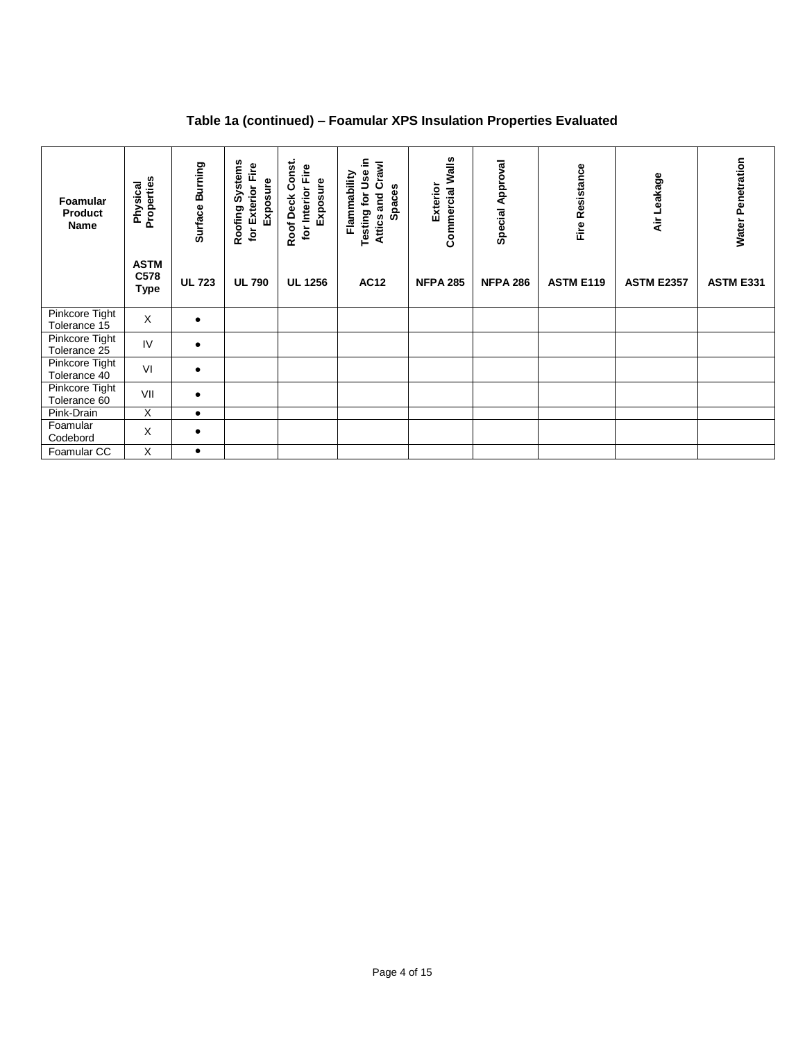# **Table 1a (continued) – Foamular XPS Insulation Properties Evaluated**

| Foamular<br><b>Product</b><br>Name    | Properties<br>Physical<br><b>ASTM</b> | Surface Burning | Roofing Systems<br>for Exterior Fire<br>Exposure | Roof Deck Const.<br>for Interior Fire<br>Exposure | Testing for Use in<br>Crawl<br>Flammability<br>Spaces<br>Attics and | Commercial Walls<br>Exterior | <b>Special Approval</b> | Fire Resistance  | Air Leakage       | <b>Water Penetration</b> |
|---------------------------------------|---------------------------------------|-----------------|--------------------------------------------------|---------------------------------------------------|---------------------------------------------------------------------|------------------------------|-------------------------|------------------|-------------------|--------------------------|
|                                       | C578<br><b>Type</b>                   | <b>UL 723</b>   | <b>UL 790</b>                                    | <b>UL 1256</b>                                    | <b>AC12</b>                                                         | <b>NFPA 285</b>              | <b>NFPA 286</b>         | <b>ASTM E119</b> | <b>ASTM E2357</b> | <b>ASTM E331</b>         |
| Pinkcore Tight<br>Tolerance 15        | X                                     |                 |                                                  |                                                   |                                                                     |                              |                         |                  |                   |                          |
| Pinkcore Tight<br>Tolerance 25        | IV                                    |                 |                                                  |                                                   |                                                                     |                              |                         |                  |                   |                          |
| Pinkcore Tight<br>Tolerance 40        | VI                                    | $\bullet$       |                                                  |                                                   |                                                                     |                              |                         |                  |                   |                          |
| <b>Pinkcore Tight</b><br>Tolerance 60 | VII                                   | $\bullet$       |                                                  |                                                   |                                                                     |                              |                         |                  |                   |                          |
| Pink-Drain                            | X                                     | ٠               |                                                  |                                                   |                                                                     |                              |                         |                  |                   |                          |
| Foamular<br>Codebord                  | X                                     |                 |                                                  |                                                   |                                                                     |                              |                         |                  |                   |                          |
| Foamular CC                           | X                                     | $\bullet$       |                                                  |                                                   |                                                                     |                              |                         |                  |                   |                          |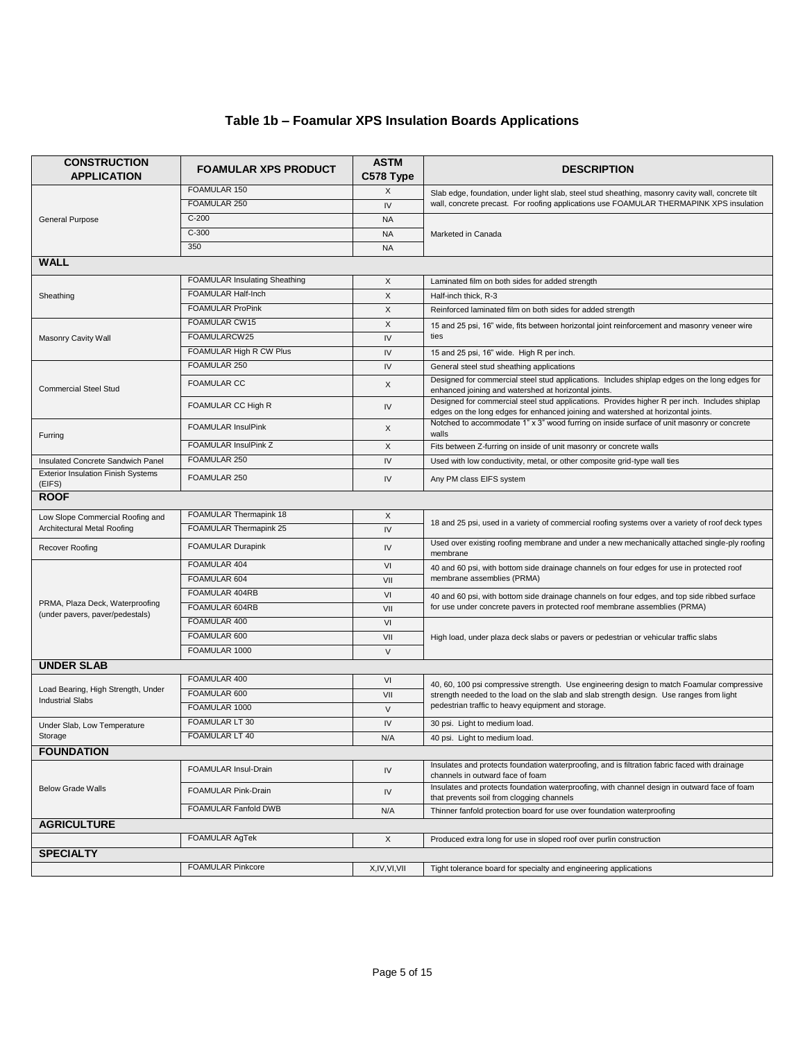# **Table 1b – Foamular XPS Insulation Boards Applications**

| <b>CONSTRUCTION</b><br><b>APPLICATION</b>                          | <b>FOAMULAR XPS PRODUCT</b>             | <b>ASTM</b><br>C578 Type | <b>DESCRIPTION</b>                                                                                                                                                                |
|--------------------------------------------------------------------|-----------------------------------------|--------------------------|-----------------------------------------------------------------------------------------------------------------------------------------------------------------------------------|
|                                                                    | FOAMULAR 150                            | X                        | Slab edge, foundation, under light slab, steel stud sheathing, masonry cavity wall, concrete tilt                                                                                 |
|                                                                    | FOAMULAR 250                            | IV                       | wall, concrete precast. For roofing applications use FOAMULAR THERMAPINK XPS insulation                                                                                           |
| <b>General Purpose</b>                                             | $C-200$                                 | <b>NA</b>                |                                                                                                                                                                                   |
|                                                                    | $C-300$                                 | <b>NA</b>                | Marketed in Canada                                                                                                                                                                |
|                                                                    | 350                                     | <b>NA</b>                |                                                                                                                                                                                   |
| <b>WALL</b>                                                        |                                         |                          |                                                                                                                                                                                   |
|                                                                    | <b>FOAMULAR Insulating Sheathing</b>    | X                        | Laminated film on both sides for added strength                                                                                                                                   |
| Sheathing                                                          | FOAMULAR Half-Inch                      | X                        | Half-inch thick, R-3                                                                                                                                                              |
|                                                                    | <b>FOAMULAR ProPink</b>                 | X                        | Reinforced laminated film on both sides for added strength                                                                                                                        |
|                                                                    | FOAMULAR CW15                           | X                        | 15 and 25 psi, 16" wide, fits between horizontal joint reinforcement and masonry veneer wire                                                                                      |
| Masonry Cavity Wall                                                | FOAMULARCW25                            | IV                       | ties                                                                                                                                                                              |
|                                                                    | FOAMULAR High R CW Plus                 | IV                       | 15 and 25 psi, 16" wide. High R per inch.                                                                                                                                         |
|                                                                    | FOAMULAR 250                            | IV                       | General steel stud sheathing applications                                                                                                                                         |
| <b>Commercial Steel Stud</b>                                       | <b>FOAMULAR CC</b>                      | X                        | Designed for commercial steel stud applications. Includes shiplap edges on the long edges for<br>enhanced joining and watershed at horizontal joints.                             |
|                                                                    | FOAMULAR CC High R                      | IV                       | Designed for commercial steel stud applications. Provides higher R per inch. Includes shiplap<br>edges on the long edges for enhanced joining and watershed at horizontal joints. |
| Furring                                                            | <b>FOAMULAR InsulPink</b>               | X                        | Notched to accommodate 1" x 3" wood furring on inside surface of unit masonry or concrete<br>walls                                                                                |
|                                                                    | FOAMULAR InsulPink Z                    | X                        | Fits between Z-furring on inside of unit masonry or concrete walls                                                                                                                |
| Insulated Concrete Sandwich Panel                                  | FOAMULAR 250                            | IV                       | Used with low conductivity, metal, or other composite grid-type wall ties                                                                                                         |
| <b>Exterior Insulation Finish Systems</b><br>(EIFS)                | FOAMULAR 250                            | IV                       | Any PM class EIFS system                                                                                                                                                          |
| <b>ROOF</b>                                                        |                                         |                          |                                                                                                                                                                                   |
| Low Slope Commercial Roofing and                                   | FOAMULAR Thermapink 18                  | X                        |                                                                                                                                                                                   |
| Architectural Metal Roofing                                        | FOAMULAR Thermapink 25                  | IV                       | 18 and 25 psi, used in a variety of commercial roofing systems over a variety of roof deck types                                                                                  |
| Recover Roofing                                                    | <b>FOAMULAR Durapink</b>                | IV                       | Used over existing roofing membrane and under a new mechanically attached single-ply roofing<br>membrane                                                                          |
|                                                                    | FOAMULAR 404                            | VI                       | 40 and 60 psi, with bottom side drainage channels on four edges for use in protected roof                                                                                         |
|                                                                    | FOAMULAR 604                            | VII                      | membrane assemblies (PRMA)                                                                                                                                                        |
|                                                                    | FOAMULAR 404RB                          | VI                       | 40 and 60 psi, with bottom side drainage channels on four edges, and top side ribbed surface                                                                                      |
| PRMA, Plaza Deck, Waterproofing<br>(under pavers, paver/pedestals) | FOAMULAR 604RB                          | VII                      | for use under concrete pavers in protected roof membrane assemblies (PRMA)                                                                                                        |
|                                                                    | FOAMULAR 400                            | VI                       |                                                                                                                                                                                   |
|                                                                    | FOAMULAR 600                            | VII                      | High load, under plaza deck slabs or pavers or pedestrian or vehicular traffic slabs                                                                                              |
|                                                                    | FOAMULAR 1000                           | $\vee$                   |                                                                                                                                                                                   |
| <b>UNDER SLAB</b>                                                  |                                         |                          |                                                                                                                                                                                   |
| Load Bearing, High Strength, Under                                 | FOAMULAR 400                            | VI                       | 40, 60, 100 psi compressive strength. Use engineering design to match Foamular compressive                                                                                        |
| <b>Industrial Slabs</b>                                            | FOAMULAR 600                            | VII                      | strength needed to the load on the slab and slab strength design. Use ranges from light                                                                                           |
|                                                                    | FOAMULAR 1000                           | $\vee$                   | pedestrian traffic to heavy equipment and storage.                                                                                                                                |
| Under Slab, Low Temperature                                        | FOAMULAR LT 30<br><b>FOAMULAR LT 40</b> | IV                       | 30 psi. Light to medium load.                                                                                                                                                     |
| Storage                                                            |                                         | N/A                      | 40 psi. Light to medium load.                                                                                                                                                     |
| <b>FOUNDATION</b>                                                  |                                         |                          | Insulates and protects foundation waterproofing, and is filtration fabric faced with drainage                                                                                     |
|                                                                    | FOAMULAR Insul-Drain                    | IV                       | channels in outward face of foam                                                                                                                                                  |
| <b>Below Grade Walls</b>                                           | FOAMULAR Pink-Drain                     | IV                       | Insulates and protects foundation waterproofing, with channel design in outward face of foam<br>that prevents soil from clogging channels                                         |
|                                                                    | <b>FOAMULAR Fanfold DWB</b>             | N/A                      | Thinner fanfold protection board for use over foundation waterproofing                                                                                                            |
| <b>AGRICULTURE</b>                                                 |                                         |                          |                                                                                                                                                                                   |
|                                                                    | FOAMULAR AgTek                          | X                        | Produced extra long for use in sloped roof over purlin construction                                                                                                               |
| <b>SPECIALTY</b>                                                   | <b>FOAMULAR Pinkcore</b>                |                          |                                                                                                                                                                                   |
|                                                                    |                                         | X,IV,VI,VII              | Tight tolerance board for specialty and engineering applications                                                                                                                  |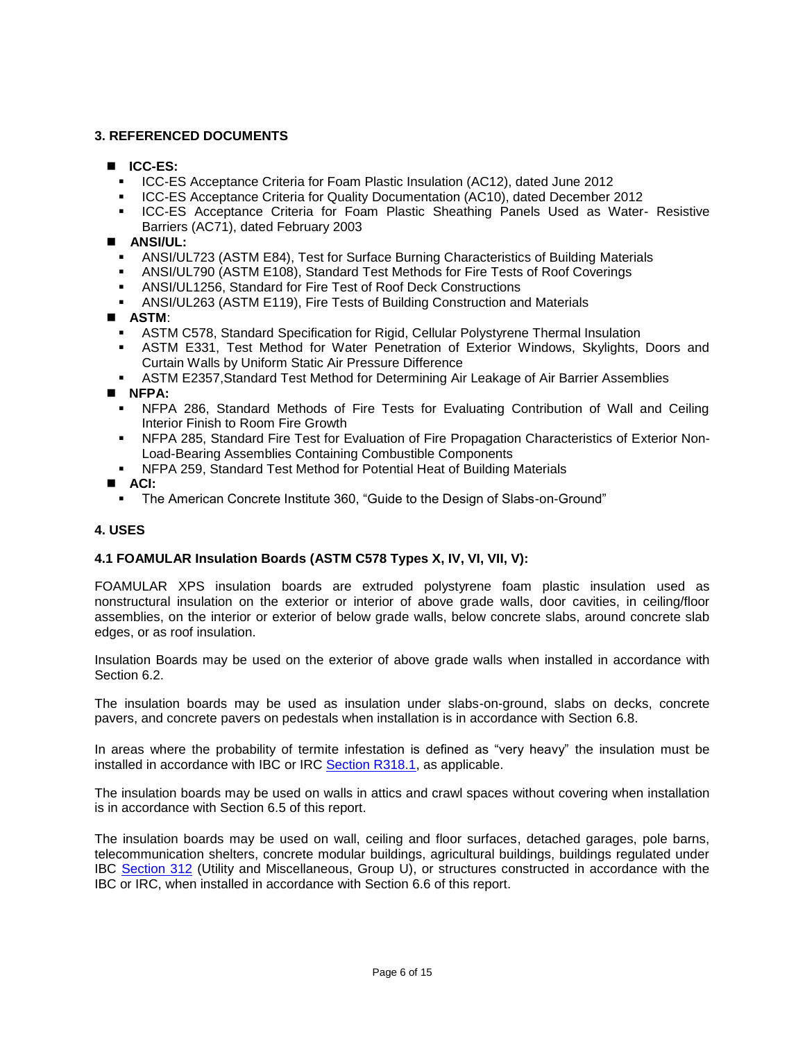# **3. REFERENCED DOCUMENTS**

- **ICC-ES:**
	- ICC-ES Acceptance Criteria for Foam Plastic Insulation (AC12), dated June 2012
	- ICC-ES Acceptance Criteria for Quality Documentation (AC10), dated December 2012
	- **ICC-ES** Acceptance Criteria for Foam Plastic Sheathing Panels Used as Water- Resistive Barriers (AC71), dated February 2003
- **ANSI/UL:**
	- ANSI/UL723 (ASTM E84), Test for Surface Burning Characteristics of Building Materials
	- ANSI/UL790 (ASTM E108), Standard Test Methods for Fire Tests of Roof Coverings
	- ANSI/UL1256, Standard for Fire Test of Roof Deck Constructions
	- ANSI/UL263 (ASTM E119), Fire Tests of Building Construction and Materials
- **ASTM**:
	- ASTM C578, Standard Specification for Rigid, Cellular Polystyrene Thermal Insulation
	- ASTM E331, Test Method for Water Penetration of Exterior Windows, Skylights, Doors and Curtain Walls by Uniform Static Air Pressure Difference
	- ASTM E2357,Standard Test Method for Determining Air Leakage of Air Barrier Assemblies

**NFPA:**

- NFPA 286, Standard Methods of Fire Tests for Evaluating Contribution of Wall and Ceiling Interior Finish to Room Fire Growth
- NFPA 285, Standard Fire Test for Evaluation of Fire Propagation Characteristics of Exterior Non-Load-Bearing Assemblies Containing Combustible Components
- NFPA 259, Standard Test Method for Potential Heat of Building Materials

**ACI:**

The American Concrete Institute 360, "Guide to the Design of Slabs-on-Ground"

# **4. USES**

# **4.1 FOAMULAR Insulation Boards (ASTM C578 Types X, IV, VI, VII, V):**

FOAMULAR XPS insulation boards are extruded polystyrene foam plastic insulation used as nonstructural insulation on the exterior or interior of above grade walls, door cavities, in ceiling/floor assemblies, on the interior or exterior of below grade walls, below concrete slabs, around concrete slab edges, or as roof insulation.

Insulation Boards may be used on the exterior of above grade walls when installed in accordance with Section 6.2.

The insulation boards may be used as insulation under slabs-on-ground, slabs on decks, concrete pavers, and concrete pavers on pedestals when installation is in accordance with Section 6.8.

In areas where the probability of termite infestation is defined as "very heavy" the insulation must be installed in accordance with IBC or IRC [Section R318.1,](http://publicecodes.cyberregs.com/icod/irc/2012/icod_irc_2012_3_sec018.htm?bu2=undefined) as applicable.

The insulation boards may be used on walls in attics and crawl spaces without covering when installation is in accordance with Section 6.5 of this report.

The insulation boards may be used on wall, ceiling and floor surfaces, detached garages, pole barns, telecommunication shelters, concrete modular buildings, agricultural buildings, buildings regulated under IBC [Section 312](http://publicecodes.cyberregs.com/icod/ibc/2012/icod_ibc_2012_3_sec012.htm) (Utility and Miscellaneous, Group U), or structures constructed in accordance with the IBC or IRC, when installed in accordance with Section 6.6 of this report.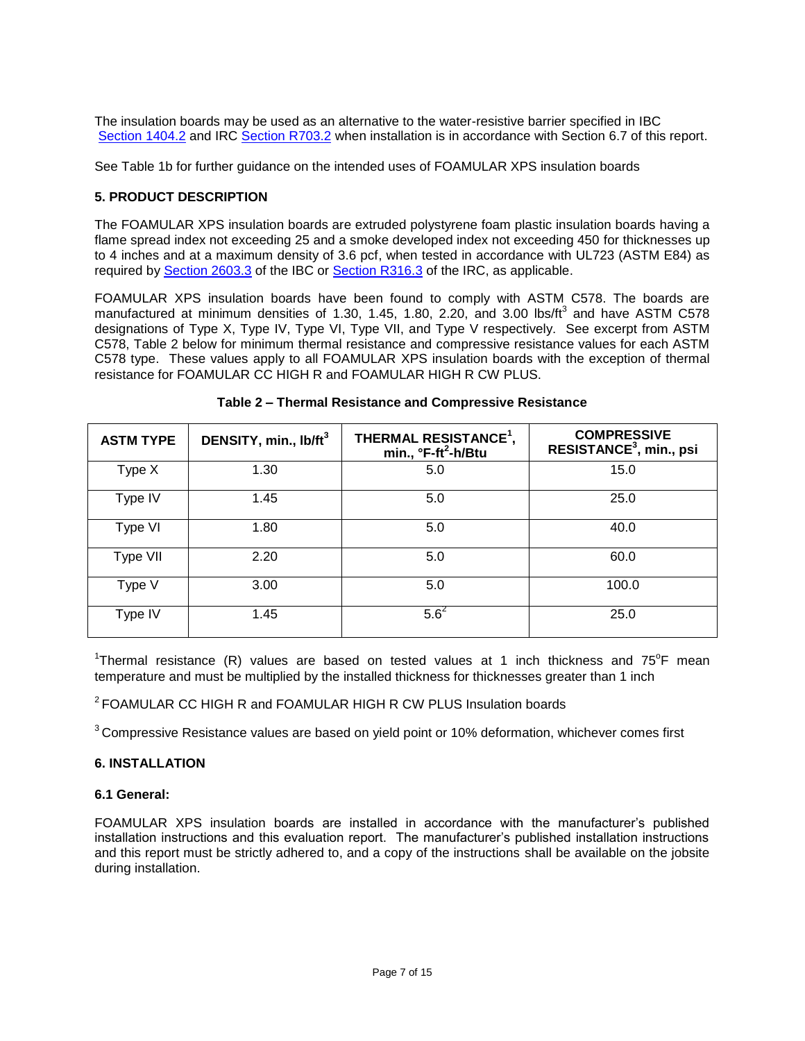The insulation boards may be used as an alternative to the water-resistive barrier specified in IBC [Section 1404.2](http://publicecodes.cyberregs.com/icod/ibc/2012/icod_ibc_2012_14_par011.htm) and IRC [Section R703.2](http://publicecodes.cyberregs.com/icod/irc/2012/icod_irc_2012_7_par034.htm) when installation is in accordance with Section 6.7 of this report.

See Table 1b for further guidance on the intended uses of FOAMULAR XPS insulation boards

# **5. PRODUCT DESCRIPTION**

The FOAMULAR XPS insulation boards are extruded polystyrene foam plastic insulation boards having a flame spread index not exceeding 25 and a smoke developed index not exceeding 450 for thicknesses up to 4 inches and at a maximum density of 3.6 pcf, when tested in accordance with UL723 (ASTM E84) as required by [Section 2603.3](http://publicecodes.cyberregs.com/icod/ibc/2012/icod_ibc_2012_26_par005.htm) of the IBC or [Section R316.3](http://publicecodes.cyberregs.com/icod/irc/2012/icod_irc_2012_3_par210.htm) of the IRC, as applicable.

FOAMULAR XPS insulation boards have been found to comply with ASTM C578. The boards are manufactured at minimum densities of 1.30, 1.45, 1.80, 2.20, and 3.00 lbs/ft<sup>3</sup> and have ASTM C578 designations of Type X, Type IV, Type VI, Type VII, and Type V respectively. See excerpt from ASTM C578, Table 2 below for minimum thermal resistance and compressive resistance values for each ASTM C578 type. These values apply to all FOAMULAR XPS insulation boards with the exception of thermal resistance for FOAMULAR CC HIGH R and FOAMULAR HIGH R CW PLUS.

| <b>ASTM TYPE</b> | DENSITY, min., lb/ft <sup>3</sup> | THERMAL RESISTANCE <sup>1</sup> ,<br>min., °F-ft <sup>2</sup> -h/Btu | <b>COMPRESSIVE</b><br>RESISTANCE <sup>3</sup> , min., psi |
|------------------|-----------------------------------|----------------------------------------------------------------------|-----------------------------------------------------------|
| Type X           | 1.30                              | 5.0                                                                  | 15.0                                                      |
| Type IV          | 1.45                              | 5.0                                                                  | 25.0                                                      |
| Type VI          | 1.80                              | 5.0                                                                  | 40.0                                                      |
| Type VII         | 2.20                              | 5.0                                                                  | 60.0                                                      |
| Type V           | 3.00                              | 5.0                                                                  | 100.0                                                     |
| Type IV          | 1.45                              | $5.6^2$                                                              | 25.0                                                      |

| Table 2 - Thermal Resistance and Compressive Resistance |  |  |  |
|---------------------------------------------------------|--|--|--|
|---------------------------------------------------------|--|--|--|

<sup>1</sup>Thermal resistance (R) values are based on tested values at 1 inch thickness and 75<sup>°</sup>F mean temperature and must be multiplied by the installed thickness for thicknesses greater than 1 inch

 $2$  FOAMULAR CC HIGH R and FOAMULAR HIGH R CW PLUS Insulation boards

<sup>3</sup> Compressive Resistance values are based on yield point or 10% deformation, whichever comes first

#### **6. INSTALLATION**

#### **6.1 General:**

FOAMULAR XPS insulation boards are installed in accordance with the manufacturer's published installation instructions and this evaluation report. The manufacturer's published installation instructions and this report must be strictly adhered to, and a copy of the instructions shall be available on the jobsite during installation.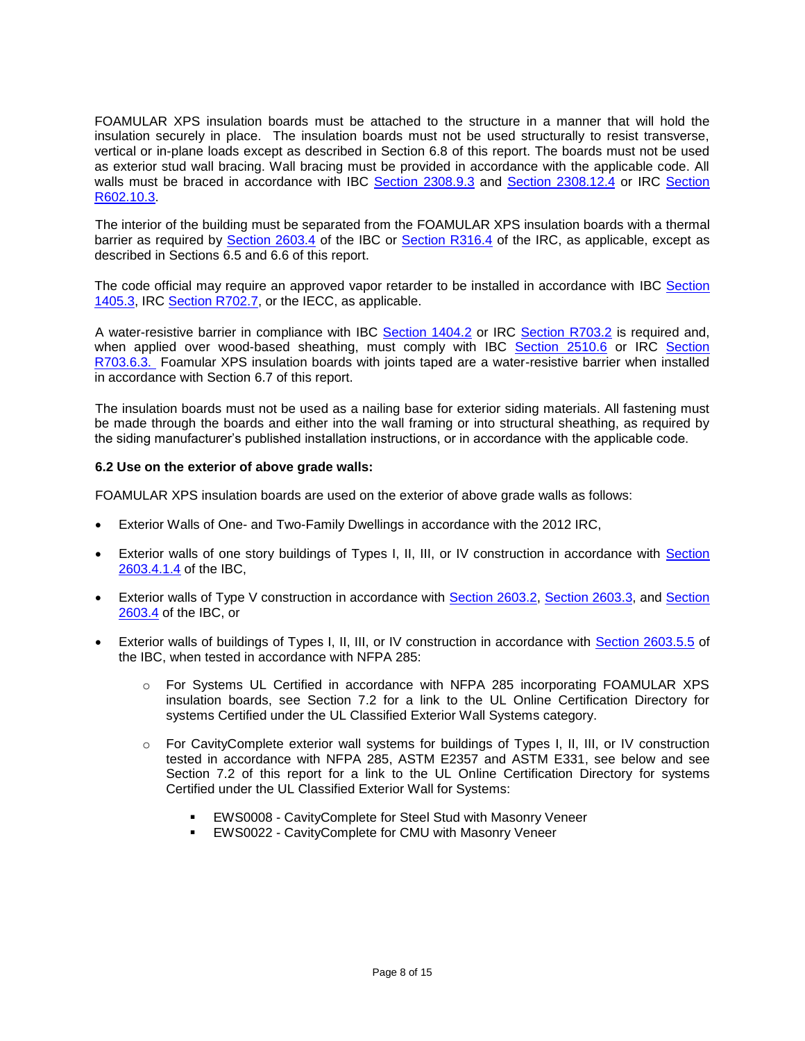FOAMULAR XPS insulation boards must be attached to the structure in a manner that will hold the insulation securely in place. The insulation boards must not be used structurally to resist transverse, vertical or in-plane loads except as described in Section 6.8 of this report. The boards must not be used as exterior stud wall bracing. Wall bracing must be provided in accordance with the applicable code. All walls must be braced in accordance with IBC Section [2308.9.3](http://publicecodes.cyberregs.com/icod/ibc/2012/icod_ibc_2012_23_par176.htm?bu2=undefined) and [Section 2308.12.4](http://publicecodes.cyberregs.com/icod/ibc/2012/icod_ibc_2012_23_par218.htm?bu2=undefined) or IRC [Section](http://publicecodes.cyberregs.com/icod/irc/2012/icod_irc_2012_6_par037.htm?bu2=undefined)  [R602.10.3.](http://publicecodes.cyberregs.com/icod/irc/2012/icod_irc_2012_6_par037.htm?bu2=undefined)

The interior of the building must be separated from the FOAMULAR XPS insulation boards with a thermal barrier as required by [Section 2603.4](http://publicecodes.cyberregs.com/icod/ibc/2012/icod_ibc_2012_26_par006.htm) of the IBC or [Section R316.4](http://publicecodes.cyberregs.com/icod/irc/2012/icod_irc_2012_3_par211.htm) of the IRC, as applicable, except as described in Sections 6.5 and 6.6 of this report.

The code official may require an approved vapor retarder to be installed in accordance with IBC [Section](http://publicecodes.cyberregs.com/icod/ibc/2012/icod_ibc_2012_14_par031.htm)  [1405.3,](http://publicecodes.cyberregs.com/icod/ibc/2012/icod_ibc_2012_14_par031.htm) IRC [Section R702.7,](http://publicecodes.cyberregs.com/icod/irc/2012/icod_irc_2012_7_par027.htm) or the IECC, as applicable.

A water-resistive barrier in compliance with IBC [Section 1404.2](http://publicecodes.cyberregs.com/icod/ibc/2012/icod_ibc_2012_14_par011.htm) or IRC [Section R703.2](http://publicecodes.cyberregs.com/icod/irc/2012/icod_irc_2012_7_par034.htm) is required and, when applied over wood-based sheathing, must comply with IBC [Section 2510.6](http://publicecodes.cyberregs.com/icod/ibc/2012/icod_ibc_2012_25_sec010.htm) or IRC Section [R703.6.3.](http://publicecodes.cyberregs.com/icod/irc/2012/icod_irc_2012_7_par049.htm) Foamular XPS insulation boards with joints taped are a water-resistive barrier when installed in accordance with Section 6.7 of this report.

The insulation boards must not be used as a nailing base for exterior siding materials. All fastening must be made through the boards and either into the wall framing or into structural sheathing, as required by the siding manufacturer's published installation instructions, or in accordance with the applicable code.

#### **6.2 Use on the exterior of above grade walls:**

FOAMULAR XPS insulation boards are used on the exterior of above grade walls as follows:

- Exterior Walls of One- and Two-Family Dwellings in accordance with the 2012 IRC,
- Exterior walls of one story buildings of Types I, II, III, or IV construction in accordance with [Section](http://publicecodes.cyberregs.com/icod/ibc/2012/icod_ibc_2012_26_par011.htm)  [2603.4.1.4](http://publicecodes.cyberregs.com/icod/ibc/2012/icod_ibc_2012_26_par011.htm) of the IBC,
- Exterior walls of Type V construction in accordance with [Section 2603.2,](http://publicecodes.cyberregs.com/icod/ibc/2012/icod_ibc_2012_26_par004.htm) [Section 2603.3,](http://publicecodes.cyberregs.com/icod/ibc/2012/icod_ibc_2012_26_par005.htm) and [Section](http://publicecodes.cyberregs.com/icod/ibc/2012/icod_ibc_2012_26_par006.htm)  [2603.4](http://publicecodes.cyberregs.com/icod/ibc/2012/icod_ibc_2012_26_par006.htm) of the IBC, or
- Exterior walls of buildings of Types I, II, III, or IV construction in accordance with [Section 2603.5.5](http://publicecodes.cyberregs.com/icod/ibc/2012/icod_ibc_2012_26_par027.htm) of the IBC, when tested in accordance with NFPA 285:
	- o For Systems UL Certified in accordance with NFPA 285 incorporating FOAMULAR XPS insulation boards, see Section 7.2 for a link to the UL Online Certification Directory for systems Certified under the UL Classified Exterior Wall Systems category.
	- o For CavityComplete exterior wall systems for buildings of Types I, II, III, or IV construction tested in accordance with NFPA 285, ASTM E2357 and ASTM E331, see below and see Section 7.2 of this report for a link to the UL Online Certification Directory for systems Certified under the UL Classified Exterior Wall for Systems:
		- EWS0008 CavityComplete for Steel Stud with Masonry Veneer
		- EWS0022 CavityComplete for CMU with Masonry Veneer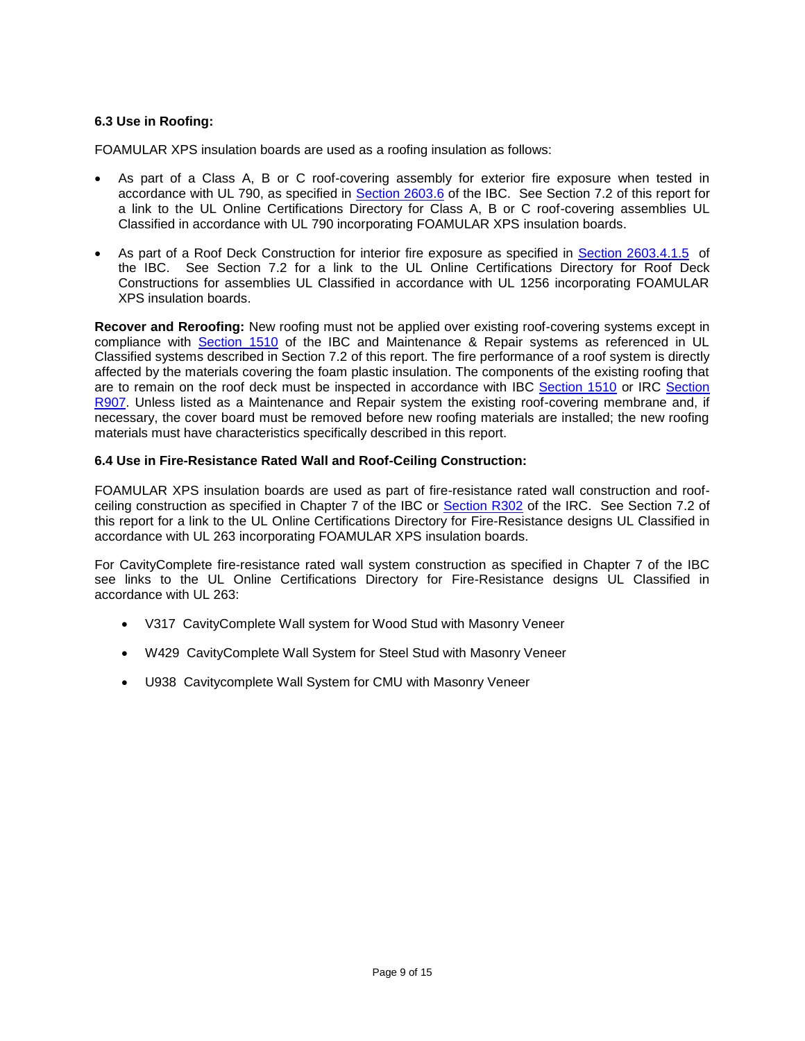# **6.3 Use in Roofing:**

FOAMULAR XPS insulation boards are used as a roofing insulation as follows:

- As part of a Class A, B or C roof-covering assembly for exterior fire exposure when tested in accordance with UL 790, as specified in [Section 2603.6](http://publicecodes.cyberregs.com/icod/ibc/2012/icod_ibc_2012_26_par030.htm) of the IBC. See Section 7.2 of this report for a link to the UL Online Certifications Directory for Class A, B or C roof-covering assemblies UL Classified in accordance with UL 790 incorporating FOAMULAR XPS insulation boards.
- As part of a Roof Deck Construction for interior fire exposure as specified in [Section 2603.4.1.5](http://publicecodes.cyberregs.com/icod/ibc/2012/icod_ibc_2012_26_par012.htm) of the IBC. See Section 7.2 for a link to the UL Online Certifications Directory for Roof Deck Constructions for assemblies UL Classified in accordance with UL 1256 incorporating FOAMULAR XPS insulation boards.

**Recover and Reroofing:** New roofing must not be applied over existing roof-covering systems except in compliance with [Section 1510](http://publicecodes.cyberregs.com/icod/ibc/2012/icod_ibc_2012_15_sec010.htm) of the IBC and Maintenance & Repair systems as referenced in UL Classified systems described in Section 7.2 of this report. The fire performance of a roof system is directly affected by the materials covering the foam plastic insulation. The components of the existing roofing that are to remain on the roof deck must be inspected in accordance with IBC [Section 1510](http://publicecodes.cyberregs.com/icod/ibc/2012/icod_ibc_2012_15_sec010.htm) or IRC [Section](http://publicecodes.cyberregs.com/icod/irc/2012/icod_irc_2012_9_sec007.htm)  [R907.](http://publicecodes.cyberregs.com/icod/irc/2012/icod_irc_2012_9_sec007.htm) Unless listed as a Maintenance and Repair system the existing roof-covering membrane and, if necessary, the cover board must be removed before new roofing materials are installed; the new roofing materials must have characteristics specifically described in this report.

#### **6.4 Use in Fire-Resistance Rated Wall and Roof-Ceiling Construction:**

FOAMULAR XPS insulation boards are used as part of fire-resistance rated wall construction and roofceiling construction as specified in Chapter 7 of the IBC or [Section R302](http://publicecodes.cyberregs.com/icod/irc/2012/icod_irc_2012_3_sec002.htm) of the IRC. See Section 7.2 of this report for a link to the UL Online Certifications Directory for Fire-Resistance designs UL Classified in accordance with UL 263 incorporating FOAMULAR XPS insulation boards.

For CavityComplete fire-resistance rated wall system construction as specified in Chapter 7 of the IBC see links to the UL Online Certifications Directory for Fire-Resistance designs UL Classified in accordance with UL 263:

- V317 CavityComplete Wall system for Wood Stud with Masonry Veneer
- W429 CavityComplete Wall System for Steel Stud with Masonry Veneer
- U938 Cavitycomplete Wall System for CMU with Masonry Veneer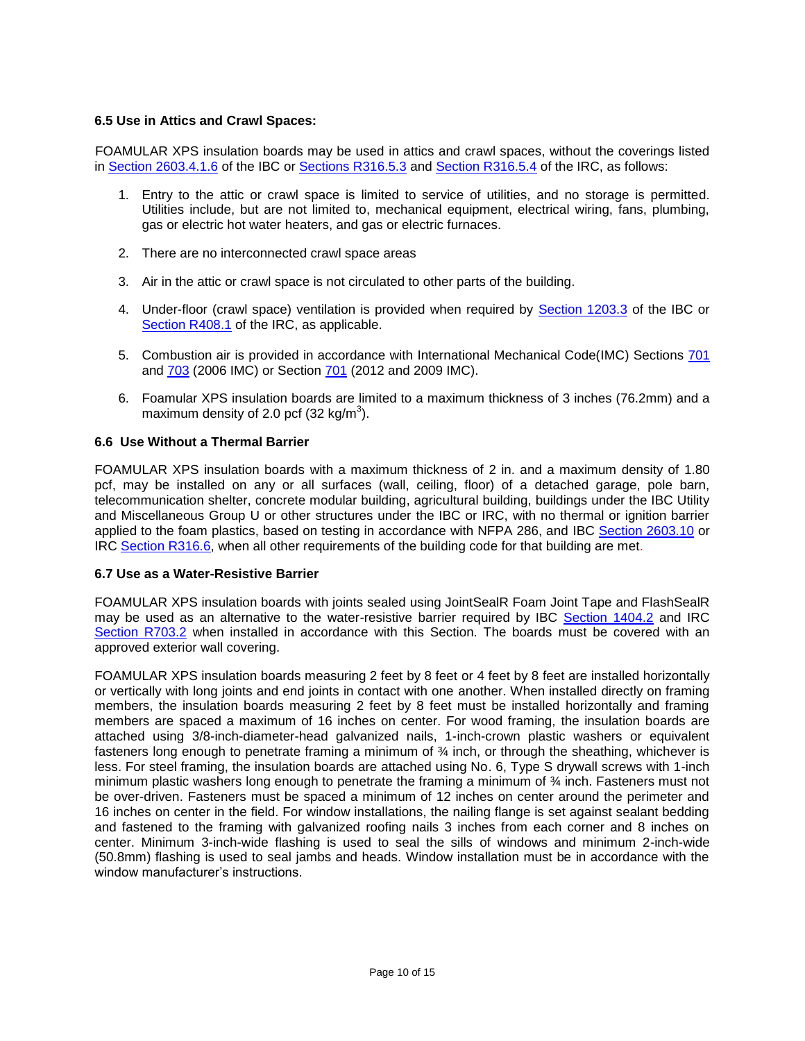## **6.5 Use in Attics and Crawl Spaces:**

FOAMULAR XPS insulation boards may be used in attics and crawl spaces, without the coverings listed in [Section 2603.4.1.6](http://publicecodes.cyberregs.com/icod/ibc/2012/icod_ibc_2012_26_par013.htm) of the IBC or [Sections R316.5.3](http://publicecodes.cyberregs.com/icod/irc/2012/icod_irc_2012_3_par215.htm) and [Section R316.5.4](http://publicecodes.cyberregs.com/icod/irc/2012/icod_irc_2012_3_par216.htm) of the IRC, as follows:

- 1. Entry to the attic or crawl space is limited to service of utilities, and no storage is permitted. Utilities include, but are not limited to, mechanical equipment, electrical wiring, fans, plumbing, gas or electric hot water heaters, and gas or electric furnaces.
- 2. There are no interconnected crawl space areas
- 3. Air in the attic or crawl space is not circulated to other parts of the building.
- 4. Under-floor (crawl space) ventilation is provided when required by [Section 1203.3](http://publicecodes.cyberregs.com/icod/ibc/2012/icod_ibc_2012_12_par006.htm) of the IBC or [Section R408.1](http://publicecodes.cyberregs.com/icod/irc/2012/icod_irc_2012_4_par117.htm) of the IRC, as applicable.
- 5. Combustion air is provided in accordance with International Mechanical Code(IMC) Sections [701](http://publicecodes.cyberregs.com/icod/imc/2006f2/icod_imc_2006f2_7_sec001.htm) and [703](http://publicecodes.cyberregs.com/icod/imc/2006f2/icod_imc_2006f2_7_sec003.htm) (2006 IMC) or Section [701](http://publicecodes.cyberregs.com/icod/imc/2012/icod_imc_2012_7_sec001.htm) (2012 and 2009 IMC).
- 6. Foamular XPS insulation boards are limited to a maximum thickness of 3 inches (76.2mm) and a maximum density of 2.0 pcf (32 kg/m<sup>3</sup>).

#### **6.6 Use Without a Thermal Barrier**

FOAMULAR XPS insulation boards with a maximum thickness of 2 in. and a maximum density of 1.80 pcf, may be installed on any or all surfaces (wall, ceiling, floor) of a detached garage, pole barn, telecommunication shelter, concrete modular building, agricultural building, buildings under the IBC Utility and Miscellaneous Group U or other structures under the IBC or IRC, with no thermal or ignition barrier applied to the foam plastics, based on testing in accordance with NFPA 286, and IBC [Section 2603.10](http://publicecodes.cyberregs.com/icod/ibc/2012/icod_ibc_2012_26_par034.htm) or IRC [Section R316.6,](http://publicecodes.cyberregs.com/icod/irc/2012/icod_irc_2012_3_par226.htm?bu2=undefined) when all other requirements of the building code for that building are met.

#### **6.7 Use as a Water-Resistive Barrier**

FOAMULAR XPS insulation boards with joints sealed using JointSealR Foam Joint Tape and FlashSealR may be used as an alternative to the water-resistive barrier required by IBC [Section 1404.2](http://publicecodes.cyberregs.com/icod/ibc/2012/icod_ibc_2012_14_par011.htm) and IRC [Section R703.2](http://publicecodes.cyberregs.com/icod/irc/2012/icod_irc_2012_7_par034.htm) when installed in accordance with this Section. The boards must be covered with an approved exterior wall covering.

FOAMULAR XPS insulation boards measuring 2 feet by 8 feet or 4 feet by 8 feet are installed horizontally or vertically with long joints and end joints in contact with one another. When installed directly on framing members, the insulation boards measuring 2 feet by 8 feet must be installed horizontally and framing members are spaced a maximum of 16 inches on center. For wood framing, the insulation boards are attached using 3/8-inch-diameter-head galvanized nails, 1-inch-crown plastic washers or equivalent fasteners long enough to penetrate framing a minimum of 34 inch, or through the sheathing, whichever is less. For steel framing, the insulation boards are attached using No. 6, Type S drywall screws with 1-inch minimum plastic washers long enough to penetrate the framing a minimum of ¾ inch. Fasteners must not be over-driven. Fasteners must be spaced a minimum of 12 inches on center around the perimeter and 16 inches on center in the field. For window installations, the nailing flange is set against sealant bedding and fastened to the framing with galvanized roofing nails 3 inches from each corner and 8 inches on center. Minimum 3-inch-wide flashing is used to seal the sills of windows and minimum 2-inch-wide (50.8mm) flashing is used to seal jambs and heads. Window installation must be in accordance with the window manufacturer's instructions.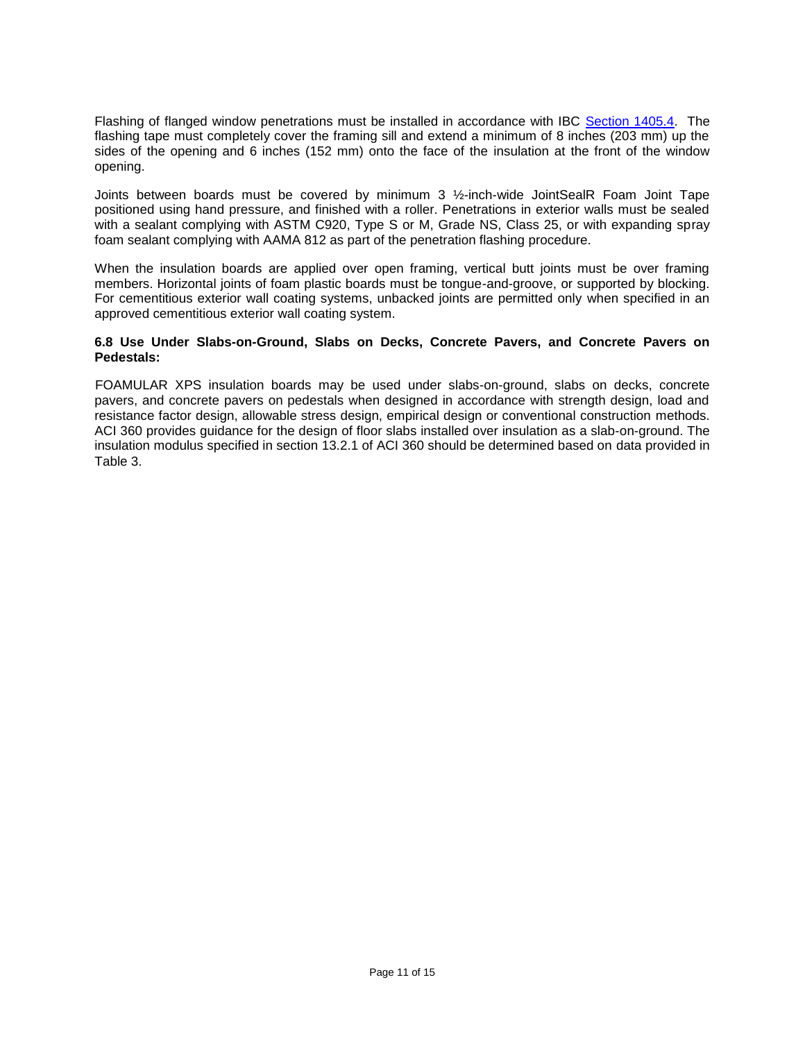Flashing of flanged window penetrations must be installed in accordance with IBC [Section 1405.4.](http://publicecodes.cyberregs.com/icod/ibc/2012/icod_ibc_2012_14_par035.htm) The flashing tape must completely cover the framing sill and extend a minimum of 8 inches (203 mm) up the sides of the opening and 6 inches (152 mm) onto the face of the insulation at the front of the window opening.

Joints between boards must be covered by minimum 3 ½-inch-wide JointSealR Foam Joint Tape positioned using hand pressure, and finished with a roller. Penetrations in exterior walls must be sealed with a sealant complying with ASTM C920, Type S or M, Grade NS, Class 25, or with expanding spray foam sealant complying with AAMA 812 as part of the penetration flashing procedure.

When the insulation boards are applied over open framing, vertical butt joints must be over framing members. Horizontal joints of foam plastic boards must be tongue-and-groove, or supported by blocking. For cementitious exterior wall coating systems, unbacked joints are permitted only when specified in an approved cementitious exterior wall coating system.

#### **6.8 Use Under Slabs-on-Ground, Slabs on Decks, Concrete Pavers, and Concrete Pavers on Pedestals:**

FOAMULAR XPS insulation boards may be used under slabs-on-ground, slabs on decks, concrete pavers, and concrete pavers on pedestals when designed in accordance with strength design, load and resistance factor design, allowable stress design, empirical design or conventional construction methods. ACI 360 provides guidance for the design of floor slabs installed over insulation as a slab-on-ground. The insulation modulus specified in section 13.2.1 of ACI 360 should be determined based on data provided in Table 3.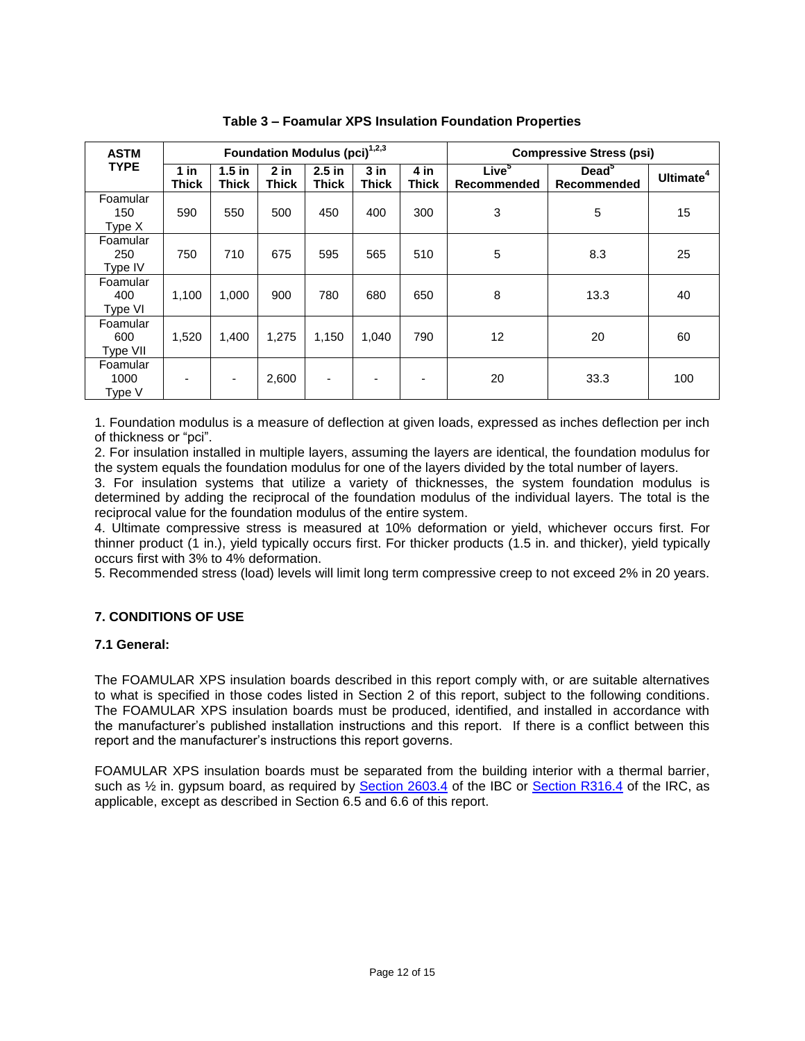| <b>ASTM</b>                 |                        |                          | Foundation Modulus (pci) <sup>1,2,3</sup> |                          |                        | <b>Compressive Stress (psi)</b> |                                  |                               |                       |
|-----------------------------|------------------------|--------------------------|-------------------------------------------|--------------------------|------------------------|---------------------------------|----------------------------------|-------------------------------|-----------------------|
| <b>TYPE</b>                 | $1$ in<br><b>Thick</b> | $1.5$ in<br><b>Thick</b> | $2$ in<br><b>Thick</b>                    | $2.5$ in<br><b>Thick</b> | $3$ in<br><b>Thick</b> | 4 in<br><b>Thick</b>            | Live <sup>5</sup><br>Recommended | $Dead^{\circ}$<br>Recommended | Ultimate <sup>4</sup> |
| Foamular<br>150<br>Type $X$ | 590                    | 550                      | 500                                       | 450                      | 400                    | 300                             | 3                                | 5                             | 15                    |
| Foamular<br>250<br>Type IV  | 750                    | 710                      | 675                                       | 595                      | 565                    | 510                             | 5                                | 8.3                           | 25                    |
| Foamular<br>400<br>Type VI  | 1,100                  | 1,000                    | 900                                       | 780                      | 680                    | 650                             | 8                                | 13.3                          | 40                    |
| Foamular<br>600<br>Type VII | 1,520                  | 1,400                    | 1,275                                     | 1,150                    | 1.040                  | 790                             | 12                               | 20                            | 60                    |
| Foamular<br>1000<br>Type V  |                        | $\overline{\phantom{a}}$ | 2,600                                     | ٠                        | ٠                      |                                 | 20                               | 33.3                          | 100                   |

**Table 3 – Foamular XPS Insulation Foundation Properties**

1. Foundation modulus is a measure of deflection at given loads, expressed as inches deflection per inch of thickness or "pci".

2. For insulation installed in multiple layers, assuming the layers are identical, the foundation modulus for the system equals the foundation modulus for one of the layers divided by the total number of layers.

3. For insulation systems that utilize a variety of thicknesses, the system foundation modulus is determined by adding the reciprocal of the foundation modulus of the individual layers. The total is the reciprocal value for the foundation modulus of the entire system.

4. Ultimate compressive stress is measured at 10% deformation or yield, whichever occurs first. For thinner product (1 in.), yield typically occurs first. For thicker products (1.5 in. and thicker), yield typically occurs first with 3% to 4% deformation.

5. Recommended stress (load) levels will limit long term compressive creep to not exceed 2% in 20 years.

# **7. CONDITIONS OF USE**

#### **7.1 General:**

The FOAMULAR XPS insulation boards described in this report comply with, or are suitable alternatives to what is specified in those codes listed in Section 2 of this report, subject to the following conditions. The FOAMULAR XPS insulation boards must be produced, identified, and installed in accordance with the manufacturer's published installation instructions and this report. If there is a conflict between this report and the manufacturer's instructions this report governs.

FOAMULAR XPS insulation boards must be separated from the building interior with a thermal barrier, such as  $\frac{1}{2}$  in. gypsum board, as required by [Section 2603.4](http://publicecodes.cyberregs.com/icod/ibc/2012/icod_ibc_2012_26_par006.htm) of the IBC or [Section R316.4](http://publicecodes.cyberregs.com/icod/irc/2012/icod_irc_2012_3_par211.htm) of the IRC, as applicable, except as described in Section 6.5 and 6.6 of this report.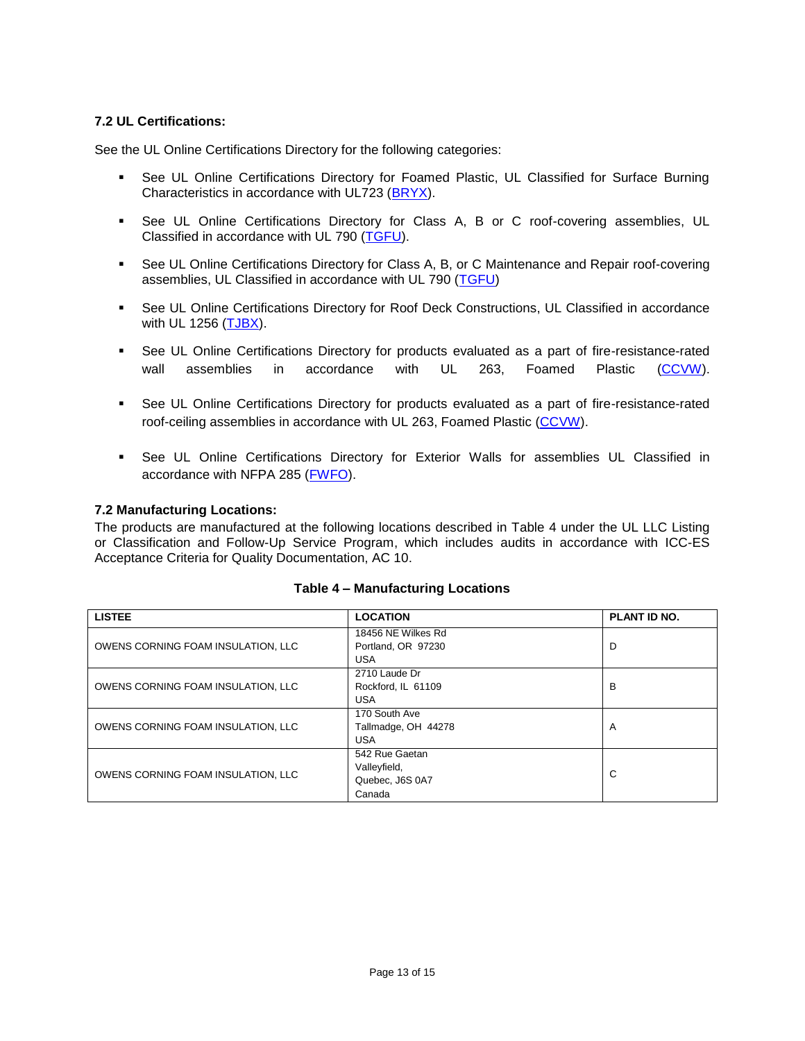# **7.2 UL Certifications:**

See the UL Online Certifications Directory for the following categories:

- See UL Online Certifications Directory for Foamed Plastic, UL Classified for Surface Burning Characteristics in accordance with UL723 [\(BRYX\)](http://database.ul.com/cgi-bin/XYV/cgifind/LISEXT/1FRAME/srchres.html?collection=/data3/verity_collections/lisext&vdkhome=/data3/verity_sw_rev24/common&SORT_BY=textlines:asc,ccnshorttitle:asc&query=R8811%3CIN%3EFile_Number+and+BRYX%3CIN%3ECCN).
- See UL Online Certifications Directory for Class A, B or C roof-covering assemblies, UL Classified in accordance with UL 790 [\(TGFU\)](http://database.ul.com/cgi-bin/XYV/cgifind/LISEXT/1FRAME/srchres.html?collection=/data3/verity_collections/lisext&vdkhome=/data3/verity_sw_rev24/common&SORT_BY=textlines:asc,ccnshorttitle:asc&query=R8811%3CIN%3EFile_Number+and+TGFU%3CIN%3ECCN).
- See UL Online Certifications Directory for Class A, B, or C Maintenance and Repair roof-covering assemblies, UL Classified in accordance with UL 790 [\(TGFU\)](http://database.ul.com/cgi-bin/XYV/cgifind/LISEXT/1FRAME/srchres.html?collection=/data3/verity_collections/lisext&vdkhome=/data3/verity_sw_rev24/common&SORT_BY=textlines:asc,ccnshorttitle:asc&query=R8811%3CIN%3EFile_Number+and+TGFU%3CIN%3ECCN)
- See UL Online Certifications Directory for Roof Deck Constructions, UL Classified in accordance with UL 1256 [\(TJBX\)](http://database.ul.com/cgi-bin/XYV/cgifind/LISEXT/1FRAME/srchres.html?collection=/data3/verity_collections/lisext&vdkhome=/data3/verity_sw_rev24/common&SORT_BY=textlines:asc,ccnshorttitle:asc&query=R8811%3CIN%3EFile_Number+and+TJBX%3CIN%3ECCN).
- See UL Online Certifications Directory for products evaluated as a part of fire-resistance-rated wall assemblies in accordance with UL 263, Foamed Plastic [\(CCVW\)](http://database.ul.com/cgi-bin/XYV/cgifind/LISEXT/1FRAME/srchres.html?collection=/data3/verity_collections/lisext&vdkhome=/data3/verity_sw_rev24/common&SORT_BY=textlines:asc,ccnshorttitle:asc&query=R8811%3CIN%3EFile_Number+and+CCVW%3CIN%3ECCN).
- See UL Online Certifications Directory for products evaluated as a part of fire-resistance-rated roof-ceiling assemblies in accordance with UL 263, Foamed Plastic [\(CCVW\)](http://database.ul.com/cgi-bin/XYV/cgifind/LISEXT/1FRAME/srchres.html?collection=/data3/verity_collections/lisext&vdkhome=/data3/verity_sw_rev24/common&SORT_BY=textlines:asc,ccnshorttitle:asc&query=R8811%3CIN%3EFile_Number+and+CCVW%3CIN%3ECCN).
- See UL Online Certifications Directory for Exterior Walls for assemblies UL Classified in accordance with NFPA 285 [\(FWFO\)](http://database.ul.com/cgi-bin/XYV/cgifind/LISEXT/1FRAME/srchres.html?collection=/data3/verity_collections/lisext&vdkhome=/data3/verity_sw_rev24/common&SORT_BY=textlines:asc,ccnshorttitle:asc&query=EWS0001%3CIN%3EFile_Number+or+EWS0002%3CIN%3EFile_Number+or+EWS0003%3CIN%3EFile_Number+or+EWS0006%3CIN%3EFile_Number+or+EWS0008%3CIN%3EFile_Number+or+EWS0022%3CIN%3EFile_Number+and+FWFO%3CIN%3ECCN).

#### **7.2 Manufacturing Locations:**

The products are manufactured at the following locations described in Table 4 under the UL LLC Listing or Classification and Follow-Up Service Program, which includes audits in accordance with ICC-ES Acceptance Criteria for Quality Documentation, AC 10.

| <b>LISTEE</b>                      | <b>LOCATION</b>                          | PLANT ID NO. |  |
|------------------------------------|------------------------------------------|--------------|--|
| OWENS CORNING FOAM INSULATION, LLC | 18456 NE Wilkes Rd<br>Portland, OR 97230 | D            |  |
|                                    | <b>USA</b>                               |              |  |
|                                    | 2710 Laude Dr                            |              |  |
| OWENS CORNING FOAM INSULATION, LLC | Rockford, IL 61109                       | B            |  |
|                                    | <b>USA</b>                               |              |  |
|                                    | 170 South Ave                            |              |  |
| OWENS CORNING FOAM INSULATION, LLC | Tallmadge, OH 44278                      | A            |  |
|                                    | <b>USA</b>                               |              |  |
|                                    | 542 Rue Gaetan                           |              |  |
| OWENS CORNING FOAM INSULATION, LLC | Valleyfield,                             | С            |  |
|                                    | Quebec, J6S 0A7                          |              |  |
|                                    | Canada                                   |              |  |

#### **Table 4 – Manufacturing Locations**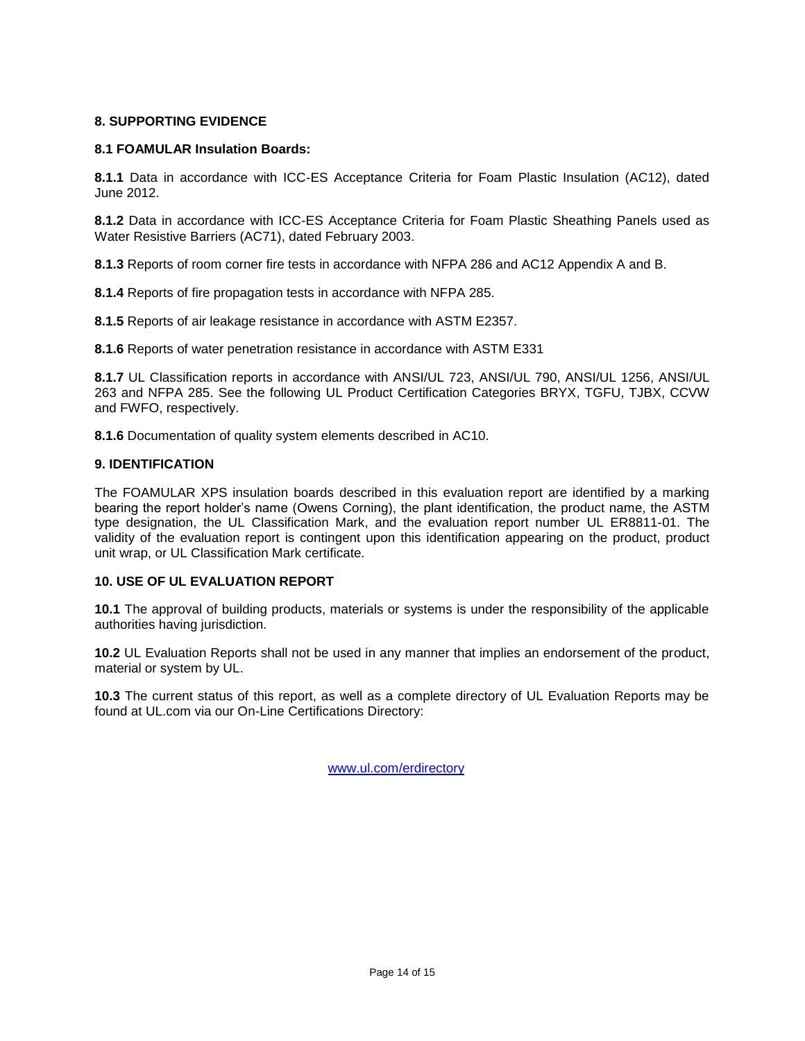## **8. SUPPORTING EVIDENCE**

#### **8.1 FOAMULAR Insulation Boards:**

**8.1.1** Data in accordance with ICC-ES Acceptance Criteria for Foam Plastic Insulation (AC12), dated June 2012.

**8.1.2** Data in accordance with ICC-ES Acceptance Criteria for Foam Plastic Sheathing Panels used as Water Resistive Barriers (AC71), dated February 2003.

**8.1.3** Reports of room corner fire tests in accordance with NFPA 286 and AC12 Appendix A and B.

**8.1.4** Reports of fire propagation tests in accordance with NFPA 285.

**8.1.5** Reports of air leakage resistance in accordance with ASTM E2357.

**8.1.6** Reports of water penetration resistance in accordance with ASTM E331

**8.1.7** UL Classification reports in accordance with ANSI/UL 723, ANSI/UL 790, ANSI/UL 1256, ANSI/UL 263 and NFPA 285. See the following UL Product Certification Categories BRYX, TGFU, TJBX, CCVW and FWFO, respectively.

**8.1.6** Documentation of quality system elements described in AC10.

#### **9. IDENTIFICATION**

The FOAMULAR XPS insulation boards described in this evaluation report are identified by a marking bearing the report holder's name (Owens Corning), the plant identification, the product name, the ASTM type designation, the UL Classification Mark, and the evaluation report number UL ER8811-01. The validity of the evaluation report is contingent upon this identification appearing on the product, product unit wrap, or UL Classification Mark certificate.

## **10. USE OF UL EVALUATION REPORT**

**10.1** The approval of building products, materials or systems is under the responsibility of the applicable authorities having jurisdiction.

**10.2** UL Evaluation Reports shall not be used in any manner that implies an endorsement of the product, material or system by UL.

**10.3** The current status of this report, as well as a complete directory of UL Evaluation Reports may be found at UL.com via our On-Line Certifications Directory:

[www.ul.com/erdirectory](http://www.ul.com/erdirectory)